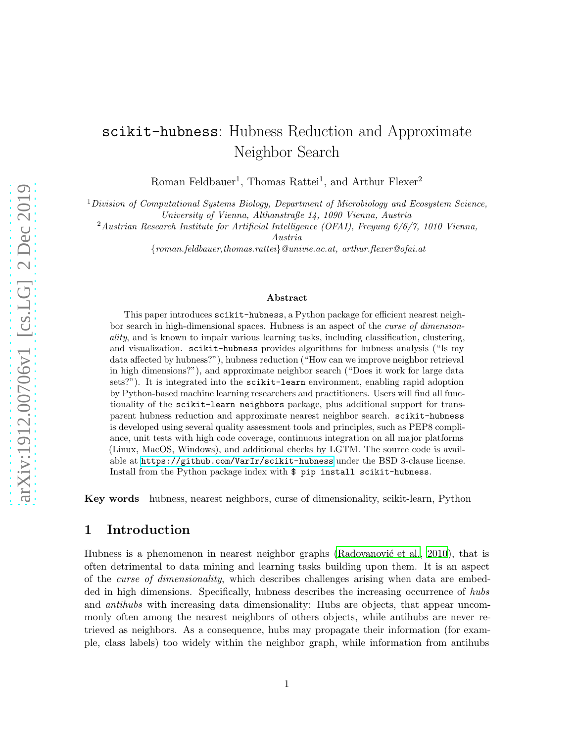# scikit-hubness: Hubness Reduction and Approximate Neighbor Search

Roman Feldbauer<sup>1</sup>, Thomas Rattei<sup>1</sup>, and Arthur Flexer<sup>2</sup>

 $1$ Division of Computational Systems Biology, Department of Microbiology and Ecosystem Science, University of Vienna, Althanstraße 14, 1090 Vienna, Austria

<sup>2</sup> Austrian Research Institute for Artificial Intelligence (OFAI), Freyung  $6/6/7$ , 1010 Vienna,

Austria

{roman.feldbauer,thomas.rattei}@univie.ac.at, arthur.flexer@ofai.at

#### Abstract

This paper introduces scikit-hubness, a Python package for efficient nearest neighbor search in high-dimensional spaces. Hubness is an aspect of the curse of dimensionality, and is known to impair various learning tasks, including classification, clustering, and visualization. scikit-hubness provides algorithms for hubness analysis ("Is my data affected by hubness?"), hubness reduction ("How can we improve neighbor retrieval in high dimensions?"), and approximate neighbor search ("Does it work for large data sets?"). It is integrated into the scikit-learn environment, enabling rapid adoption by Python-based machine learning researchers and practitioners. Users will find all functionality of the scikit-learn neighbors package, plus additional support for transparent hubness reduction and approximate nearest neighbor search. scikit-hubness is developed using several quality assessment tools and principles, such as PEP8 compliance, unit tests with high code coverage, continuous integration on all major platforms (Linux, MacOS, Windows), and additional checks by LGTM. The source code is available at <https://github.com/VarIr/scikit-hubness> under the BSD 3-clause license. Install from the Python package index with \$ pip install scikit-hubness.

Key words hubness, nearest neighbors, curse of dimensionality, scikit-learn, Python

### 1 Introduction

Hubness is a phenomenon in nearest neighbor graphs (Radovanovic et al., [2010\)](#page-4-0), that is often detrimental to data mining and learning tasks building upon them. It is an aspect of the *curse of dimensionality*, which describes challenges arising when data are embedded in high dimensions. Specifically, hubness describes the increasing occurrence of hubs and *antihubs* with increasing data dimensionality: Hubs are objects, that appear uncommonly often among the nearest neighbors of others objects, while antihubs are never retrieved as neighbors. As a consequence, hubs may propagate their information (for example, class labels) too widely within the neighbor graph, while information from antihubs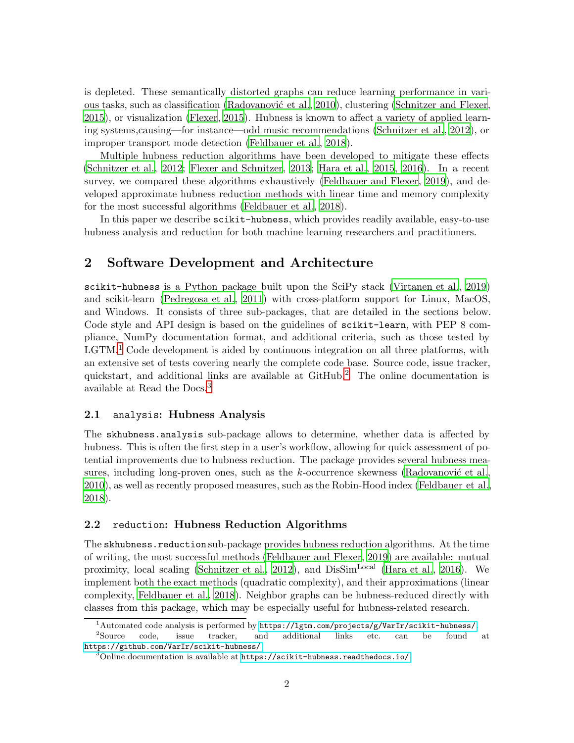is depleted. These semantically distorted graphs can reduce learning performance in vari-ous tasks, such as classification (Radovanović et al., [2010](#page-4-0)), clustering [\(Schnitzer and Flexer](#page-4-1), [2015](#page-4-1)), or visualization [\(Flexer](#page-4-2), [2015](#page-4-2)). Hubness is known to affect a variety of applied learning systems,causing—for instance—odd music recommendations [\(Schnitzer et al., 2012\)](#page-4-3), or improper transport mode detection [\(Feldbauer et al., 2018](#page-4-4)).

Multiple hubness reduction algorithms have been developed to mitigate these effects [\(Schnitzer et al., 2012;](#page-4-3) [Flexer and Schnitzer, 2013](#page-4-5); [Hara et](#page-4-6) al., [2015](#page-4-6), [2016](#page-4-7)). In a recent survey, we compared these algorithms exhaustively [\(Feldbauer and Flexer](#page-4-8), [2019](#page-4-8)), and developed approximate hubness reduction methods with linear time and memory complexity for the most successful algorithms [\(Feldbauer et al., 2018](#page-4-4)).

In this paper we describe scikit-hubness, which provides readily available, easy-to-use hubness analysis and reduction for both machine learning researchers and practitioners.

## 2 Software Development and Architecture

scikit-hubness is a Python package built upon the SciPy stack [\(Virtanen et al.](#page-4-9), [2019](#page-4-9)) and scikit-learn [\(Pedregosa et al.](#page-4-10), [2011](#page-4-10)) with cross-platform support for Linux, MacOS, and Windows. It consists of three sub-packages, that are detailed in the sections below. Code style and API design is based on the guidelines of scikit-learn, with PEP 8 compliance, NumPy documentation format, and additional criteria, such as those tested by  $\text{LGTM}.$ <sup>[1](#page-1-0)</sup> Code development is aided by continuous integration on all three platforms, with an extensive set of tests covering nearly the complete code base. Source code, issue tracker, quickstart, and additional links are available at GitHub.[2](#page-1-1) The online documentation is available at Read the Docs.[3](#page-1-2)

#### 2.1 analysis: Hubness Analysis

The skhubness.analysis sub-package allows to determine, whether data is affected by hubness. This is often the first step in a user's workflow, allowing for quick assessment of potential improvements due to hubness reduction. The package provides several hubness measures, including long-proven ones, such as the k-occurrence skewness (Radovanović et al., [2010](#page-4-0)), as well as recently proposed measures, such as the Robin-Hood index [\(Feldbauer et al.,](#page-4-4) [2018](#page-4-4)).

#### 2.2 reduction: Hubness Reduction Algorithms

The skhubness.reduction sub-package provides hubness reduction algorithms. At the time of writing, the most successful methods [\(Feldbauer and Flexer, 2019](#page-4-8)) are available: mutual proximity, local scaling [\(Schnitzer et al.](#page-4-3), [2012](#page-4-3)), and DisSim<sup>Local</sup> [\(Hara et al., 2016](#page-4-7)). We implement both the exact methods (quadratic complexity), and their approximations (linear complexity, [Feldbauer et al.](#page-4-4), [2018](#page-4-4)). Neighbor graphs can be hubness-reduced directly with classes from this package, which may be especially useful for hubness-related research.

<span id="page-1-0"></span><sup>1</sup>Automated code analysis is performed by <https://lgtm.com/projects/g/VarIr/scikit-hubness/>.

 $^2\mathrm{Source}$ Source code, issue tracker, and additional links etc. can be found at <https://github.com/VarIr/scikit-hubness/>.

<span id="page-1-2"></span><span id="page-1-1"></span> $3$ Online documentation is available at  $https://scikit-hubness.read:<sub>0</sub>/$ .</sub>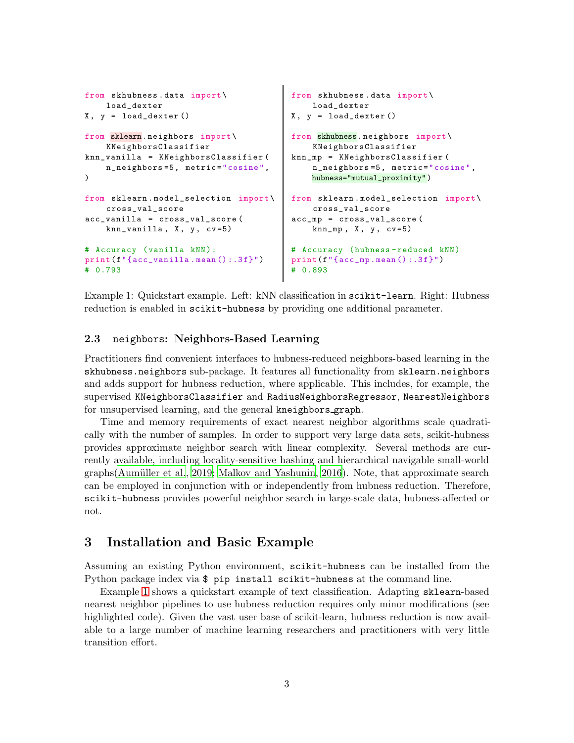```
from skhubness . data import \
    load_dexter
X, y = load\_dexter()from sklearn. neighbors import\
    KNeighborsClassifier
knn_vanilla = KNeighborsClassifier (
    n_neighbors =5 , metric =" cosine ",
)
from sklearn . model_selection import \
    cross_val_score
acc_vanilla = cross_val_score (
    knn_vanilla, X, y, cv=5)# Accuracy (vanilla kNN):
print(f''\{acc\_vanillamean() : .3f\}'')# 0.793
                                           from skhubness . data import \
                                              load_dexter
                                           X, y = load\_dexter ()
                                           from skhubness. neighbors import \
                                               KNeighborsClassifier
                                           knn_mp = KNeighborsClassifier (
                                               n_neighbors =5 , metric =" cosine ",
                                               hubness="mutual_proximity" )
                                           from sklearn.model_selection import\
                                               cross_val_score
                                           acc_mp = cross_val_score (
                                               knn_m, X, y, cv=5)
                                           # Accuracy ( hubness - reduced kNN )
                                           print(f'' \{ acc_m p . mean () : .3f\}'')# 0.893
```
<span id="page-2-0"></span>Example 1: Quickstart example. Left: kNN classification in scikit-learn. Right: Hubness reduction is enabled in scikit-hubness by providing one additional parameter.

### 2.3 neighbors: Neighbors-Based Learning

Practitioners find convenient interfaces to hubness-reduced neighbors-based learning in the skhubness.neighbors sub-package. It features all functionality from sklearn.neighbors and adds support for hubness reduction, where applicable. This includes, for example, the supervised KNeighborsClassifier and RadiusNeighborsRegressor, NearestNeighbors for unsupervised learning, and the general kneighbors graph.

Time and memory requirements of exact nearest neighbor algorithms scale quadratically with the number of samples. In order to support very large data sets, scikit-hubness provides approximate neighbor search with linear complexity. Several methods are currently available, including locality-sensitive hashing and hierarchical navigable small-world graphs(Aumüller et al., [2019](#page-4-11); [Malkov and Yashunin, 2016](#page-4-12)). Note, that approximate search can be employed in conjunction with or independently from hubness reduction. Therefore, scikit-hubness provides powerful neighbor search in large-scale data, hubness-affected or not.

## 3 Installation and Basic Example

Assuming an existing Python environment, scikit-hubness can be installed from the Python package index via \$ pip install scikit-hubness at the command line.

Example [1](#page-2-0) shows a quickstart example of text classification. Adapting sklearn-based nearest neighbor pipelines to use hubness reduction requires only minor modifications (see highlighted code). Given the vast user base of scikit-learn, hubness reduction is now available to a large number of machine learning researchers and practitioners with very little transition effort.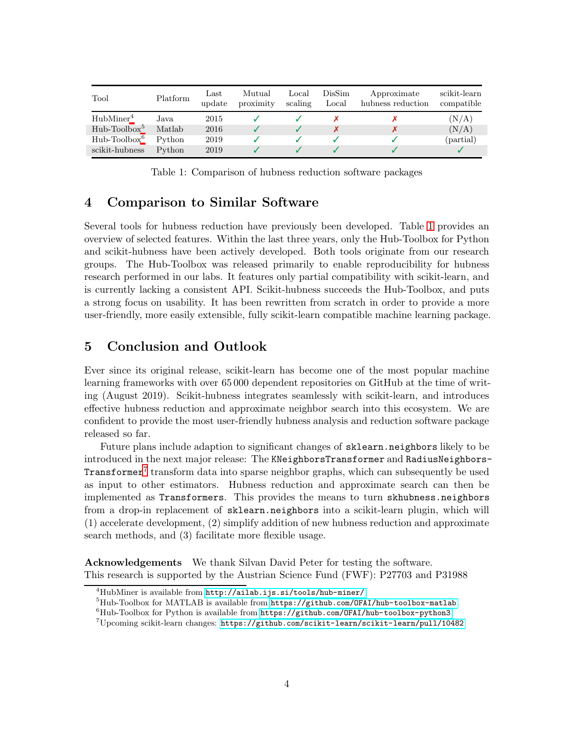| Tool                  | Platform | $_{\rm Last}$<br>update | Mutual<br>proximity | Local<br>scaling | DisSim<br>Local | Approximate<br>hubness reduction | scikit-learn<br>compatible |
|-----------------------|----------|-------------------------|---------------------|------------------|-----------------|----------------------------------|----------------------------|
| HubMiner <sup>4</sup> | Java.    | 2015                    |                     |                  |                 |                                  | (N/A)                      |
| $Hub- Toolbox5$       | Matlab   | 2016                    |                     |                  |                 |                                  | (N/A)                      |
| $Hub- Toolbox6$       | Python   | 2019                    |                     |                  |                 |                                  | (partial)                  |
| scikit-hubness        | Python   | 2019                    |                     |                  |                 |                                  |                            |

<span id="page-3-3"></span>Table 1: Comparison of hubness reduction software packages

## 4 Comparison to Similar Software

Several tools for hubness reduction have previously been developed. Table [1](#page-3-3) provides an overview of selected features. Within the last three years, only the Hub-Toolbox for Python and scikit-hubness have been actively developed. Both tools originate from our research groups. The Hub-Toolbox was released primarily to enable reproducibility for hubness research performed in our labs. It features only partial compatibility with scikit-learn, and is currently lacking a consistent API. Scikit-hubness succeeds the Hub-Toolbox, and puts a strong focus on usability. It has been rewritten from scratch in order to provide a more user-friendly, more easily extensible, fully scikit-learn compatible machine learning package.

## 5 Conclusion and Outlook

Ever since its original release, scikit-learn has become one of the most popular machine learning frameworks with over 65 000 dependent repositories on GitHub at the time of writing (August 2019). Scikit-hubness integrates seamlessly with scikit-learn, and introduces effective hubness reduction and approximate neighbor search into this ecosystem. We are confident to provide the most user-friendly hubness analysis and reduction software package released so far.

Future plans include adaption to significant changes of sklearn.neighbors likely to be introduced in the next major release: The KNeighborsTransformer and RadiusNeighbors-Transformer<sup>[7](#page-3-4)</sup> transform data into sparse neighbor graphs, which can subsequently be used as input to other estimators. Hubness reduction and approximate search can then be implemented as Transformers. This provides the means to turn skhubness.neighbors from a drop-in replacement of sklearn.neighbors into a scikit-learn plugin, which will (1) accelerate development, (2) simplify addition of new hubness reduction and approximate search methods, and (3) facilitate more flexible usage.

Acknowledgements We thank Silvan David Peter for testing the software. This research is supported by the Austrian Science Fund (FWF): P27703 and P31988

 ${}^{4}$ HubMiner is available from  $http://ailab.ijs.si/tools/hub-miner/.$  $http://ailab.ijs.si/tools/hub-miner/.$ 

<span id="page-3-0"></span> $5Hub-{\text{Tool}}$  for MATLAB is available from  $\text{https://github.com/OFAI/hub-toolbox-matlab}.$  $\text{https://github.com/OFAI/hub-toolbox-matlab}.$  $\text{https://github.com/OFAI/hub-toolbox-matlab}.$ 

<span id="page-3-1"></span> ${}^{6}$ Hub-Toolbox for Python is available from  $https://github.com/OFAI/hub-toolbox-python3.$  $https://github.com/OFAI/hub-toolbox-python3.$ 

<span id="page-3-4"></span><span id="page-3-2"></span> $7$ Upcoming scikit-learn changes: <https://github.com/scikit-learn/scikit-learn/pull/10482>